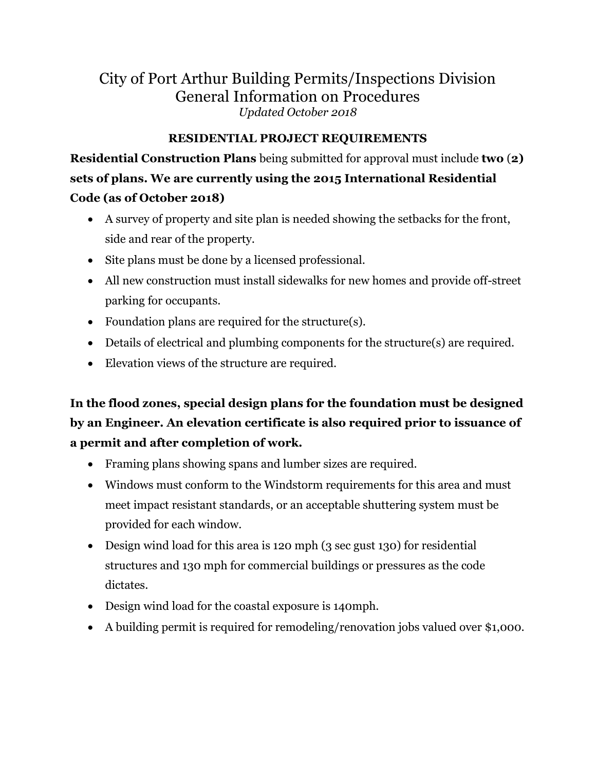# City of Port Arthur Building Permits/Inspections Division General Information on Procedures *Updated October 2018*

# **RESIDENTIAL PROJECT REQUIREMENTS**

**Residential Construction Plans** being submitted for approval must include **two** (**2) sets of plans. We are currently using the 2015 International Residential Code (as of October 2018)**

- A survey of property and site plan is needed showing the setbacks for the front, side and rear of the property.
- Site plans must be done by a licensed professional.
- All new construction must install sidewalks for new homes and provide off-street parking for occupants.
- Foundation plans are required for the structure(s).
- Details of electrical and plumbing components for the structure(s) are required.
- Elevation views of the structure are required.

**In the flood zones, special design plans for the foundation must be designed by an Engineer. An elevation certificate is also required prior to issuance of a permit and after completion of work.**

- Framing plans showing spans and lumber sizes are required.
- Windows must conform to the Windstorm requirements for this area and must meet impact resistant standards, or an acceptable shuttering system must be provided for each window.
- Design wind load for this area is 120 mph (3 sec gust 130) for residential structures and 130 mph for commercial buildings or pressures as the code dictates.
- Design wind load for the coastal exposure is 140mph.
- A building permit is required for remodeling/renovation jobs valued over \$1,000.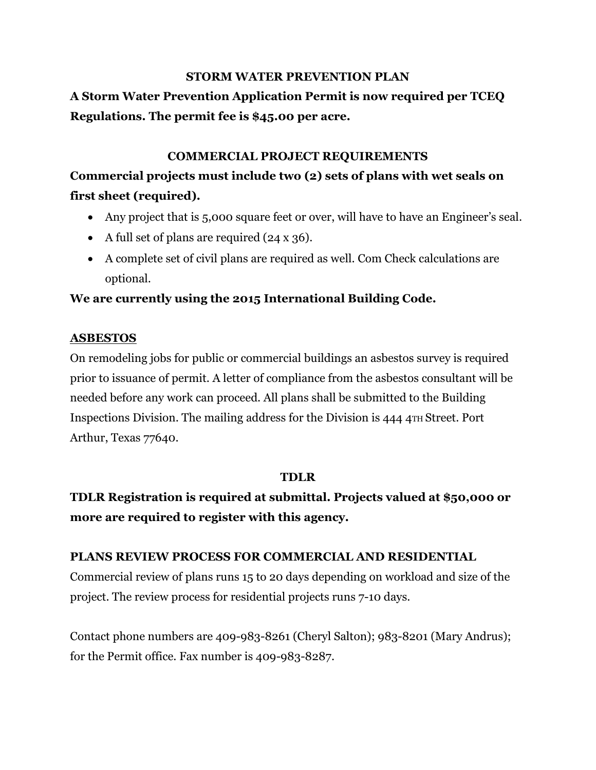### **STORM WATER PREVENTION PLAN**

# **A Storm Water Prevention Application Permit is now required per TCEQ Regulations. The permit fee is \$45.00 per acre.**

## **COMMERCIAL PROJECT REQUIREMENTS**

# **Commercial projects must include two (2) sets of plans with wet seals on first sheet (required).**

- Any project that is 5,000 square feet or over, will have to have an Engineer's seal.
- A full set of plans are required  $(24 \times 36)$ .
- A complete set of civil plans are required as well. Com Check calculations are optional.

# **We are currently using the 2015 International Building Code.**

### **ASBESTOS**

On remodeling jobs for public or commercial buildings an asbestos survey is required prior to issuance of permit. A letter of compliance from the asbestos consultant will be needed before any work can proceed. All plans shall be submitted to the Building Inspections Division. The mailing address for the Division is 444 4TH Street. Port Arthur, Texas 77640.

### **TDLR**

**TDLR Registration is required at submittal. Projects valued at \$50,000 or more are required to register with this agency.**

### **PLANS REVIEW PROCESS FOR COMMERCIAL AND RESIDENTIAL**

Commercial review of plans runs 15 to 20 days depending on workload and size of the project. The review process for residential projects runs 7-10 days.

Contact phone numbers are 409-983-8261 (Cheryl Salton); 983-8201 (Mary Andrus); for the Permit office. Fax number is 409-983-8287.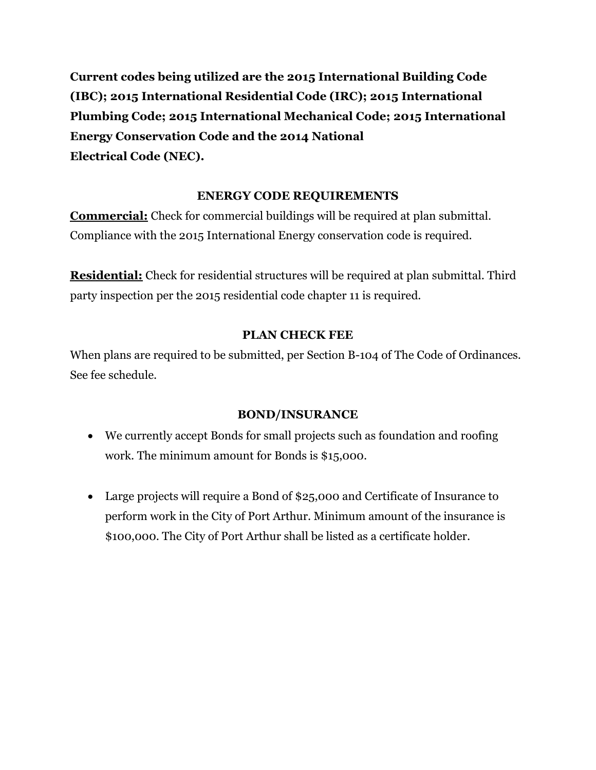**Current codes being utilized are the 2015 International Building Code (IBC); 2015 International Residential Code (IRC); 2015 International Plumbing Code; 2015 International Mechanical Code; 2015 International Energy Conservation Code and the 2014 National Electrical Code (NEC).**

# **ENERGY CODE REQUIREMENTS**

**Commercial:** Check for commercial buildings will be required at plan submittal. Compliance with the 2015 International Energy conservation code is required.

**Residential:** Check for residential structures will be required at plan submittal. Third party inspection per the 2015 residential code chapter 11 is required.

# **PLAN CHECK FEE**

When plans are required to be submitted, per Section B-104 of The Code of Ordinances. See fee schedule.

# **BOND/INSURANCE**

- We currently accept Bonds for small projects such as foundation and roofing work. The minimum amount for Bonds is \$15,000.
- Large projects will require a Bond of \$25,000 and Certificate of Insurance to perform work in the City of Port Arthur. Minimum amount of the insurance is \$100,000. The City of Port Arthur shall be listed as a certificate holder.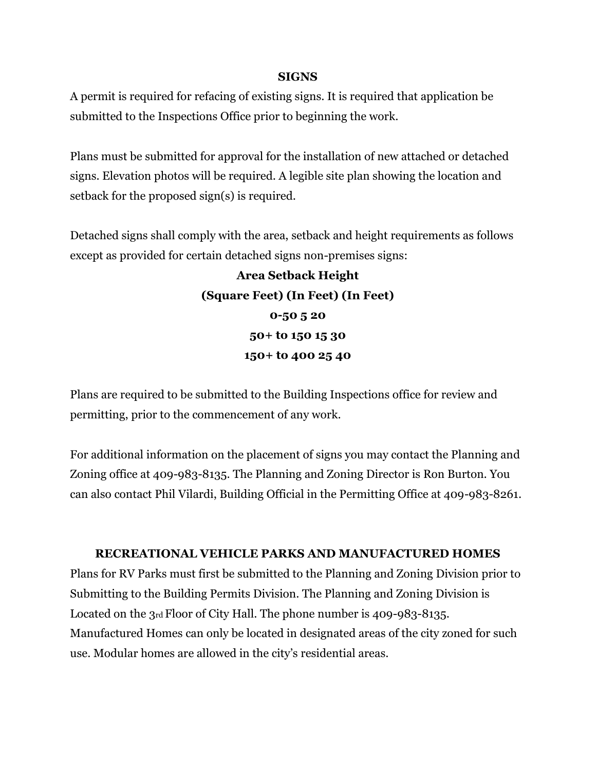#### **SIGNS**

A permit is required for refacing of existing signs. It is required that application be submitted to the Inspections Office prior to beginning the work.

Plans must be submitted for approval for the installation of new attached or detached signs. Elevation photos will be required. A legible site plan showing the location and setback for the proposed sign(s) is required.

Detached signs shall comply with the area, setback and height requirements as follows except as provided for certain detached signs non-premises signs:

> **Area Setback Height (Square Feet) (In Feet) (In Feet) 0-50 5 20 50+ to 150 15 30 150+ to 400 25 40**

Plans are required to be submitted to the Building Inspections office for review and permitting, prior to the commencement of any work.

For additional information on the placement of signs you may contact the Planning and Zoning office at 409-983-8135. The Planning and Zoning Director is Ron Burton. You can also contact Phil Vilardi, Building Official in the Permitting Office at 409-983-8261.

### **RECREATIONAL VEHICLE PARKS AND MANUFACTURED HOMES**

Plans for RV Parks must first be submitted to the Planning and Zoning Division prior to Submitting to the Building Permits Division. The Planning and Zoning Division is Located on the 3rd Floor of City Hall. The phone number is 409-983-8135. Manufactured Homes can only be located in designated areas of the city zoned for such use. Modular homes are allowed in the city's residential areas.